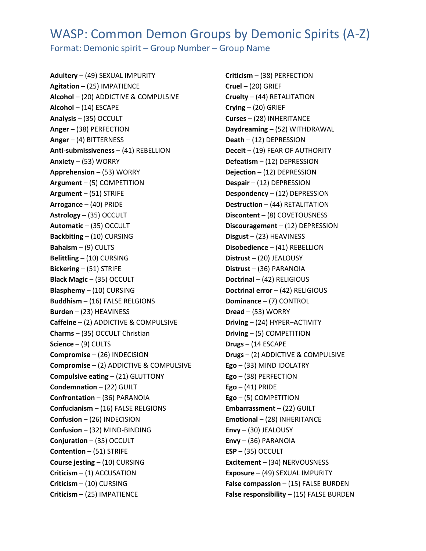## WASP: Common Demon Groups by Demonic Spirits (A-Z)

Format: Demonic spirit – Group Number – Group Name

**Adultery** – (49) SEXUAL IMPURITY **Agitation** – (25) IMPATIENCE **Alcohol** – (20) ADDICTIVE & COMPULSIVE **Alcohol** – (14) ESCAPE **Analysis** – (35) OCCULT **Anger** – (38) PERFECTION **Anger** – (4) BITTERNESS **Anti-submissiveness** – (41) REBELLION **Anxiety** – (53) WORRY **Apprehension** – (53) WORRY **Argument** – (5) COMPETITION **Argument** – (51) STRIFE **Arrogance** – (40) PRIDE **Astrology** – (35) OCCULT **Automatic** – (35) OCCULT **Backbiting** – (10) CURSING **Bahaism** – (9) CULTS **Belittling** – (10) CURSING **Bickering** – (51) STRIFE **Black Magic** – (35) OCCULT **Blasphemy** – (10) CURSING **Buddhism** – (16) FALSE RELGIONS **Burden** – (23) HEAVINESS **Caffeine** – (2) ADDICTIVE & COMPULSIVE **Charms** – (35) OCCULT Christian **Science** – (9) CULTS **Compromise** – (26) INDECISION **Compromise** – (2) ADDICTIVE & COMPULSIVE **Compulsive eating** – (21) GLUTTONY **Condemnation** – (22) GUILT **Confrontation** – (36) PARANOIA **Confucianism** – (16) FALSE RELGIONS **Confusion** – (26) INDECISION **Confusion** – (32) MIND‐BINDING **Conjuration** – (35) OCCULT **Contention** – (51) STRIFE **Course jesting** – (10) CURSING **Criticism** – (1) ACCUSATION **Criticism** – (10) CURSING **Criticism** – (25) IMPATIENCE

**Criticism** – (38) PERFECTION **Cruel** – (20) GRIEF **Cruelty** – (44) RETALITATION **Crying** – (20) GRIEF **Curses** – (28) INHERITANCE **Daydreaming** – (52) WITHDRAWAL **Death** – (12) DEPRESSION **Deceit** – (19) FEAR OF AUTHORITY **Defeatism** – (12) DEPRESSION **Dejection** – (12) DEPRESSION **Despair** – (12) DEPRESSION **Despondency** – (12) DEPRESSION **Destruction** – (44) RETALITATION **Discontent** – (8) COVETOUSNESS **Discouragement** – (12) DEPRESSION **Disgust** – (23) HEAVINESS **Disobedience** – (41) REBELLION **Distrust** – (20) JEALOUSY **Distrust** – (36) PARANOIA **Doctrinal** – (42) RELIGIOUS **Doctrinal error** – (42) RELIGIOUS **Dominance** – (7) CONTROL **Dread** – (53) WORRY **Driving** – (24) HYPER–ACTIVITY **Driving** – (5) COMPETITION **Drugs** – (14 ESCAPE **Drugs** – (2) ADDICTIVE & COMPULSIVE **Ego** – (33) MIND IDOLATRY **Ego** – (38) PERFECTION **Ego** – (41) PRIDE **Ego** – (5) COMPETITION **Embarrassment** – (22) GUILT **Emotional** – (28) INHERITANCE **Envy** – (30) JEALOUSY **Envy** – (36) PARANOIA **ESP** – (35) OCCULT **Excitement** – (34) NERVOUSNESS **Exposure** – (49) SEXUAL IMPURITY **False compassion** – (15) FALSE BURDEN **False responsibility** – (15) FALSE BURDEN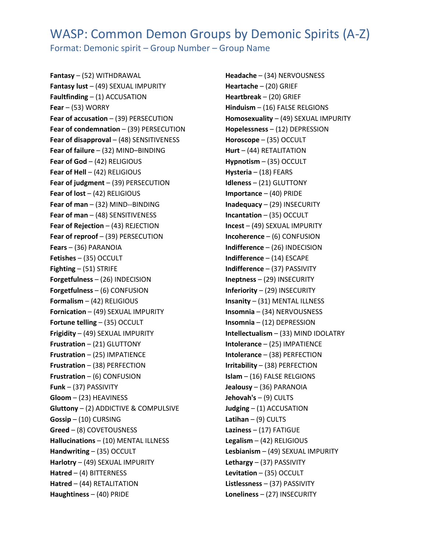## WASP: Common Demon Groups by Demonic Spirits (A-Z)

Format: Demonic spirit – Group Number – Group Name

**Fantasy** – (52) WITHDRAWAL **Fantasy lust** – (49) SEXUAL IMPURITY **Faultfinding** – (1) ACCUSATION **Fear** – (53) WORRY **Fear of accusation** – (39) PERSECUTION **Fear of condemnation** – (39) PERSECUTION **Fear of disapproval** – (48) SENSITIVENESS **Fear of failure** – (32) MIND–BINDING **Fear of God** – (42) RELIGIOUS **Fear of Hell** – (42) RELIGIOUS **Fear of judgment** – (39) PERSECUTION **Fear of lost** – (42) RELIGIOUS **Fear of man** – (32) MIND-‐BINDING **Fear of man** – (48) SENSITIVENESS **Fear of Rejection** – (43) REJECTION **Fear of reproof** – (39) PERSECUTION **Fears** – (36) PARANOIA **Fetishes** – (35) OCCULT **Fighting** – (51) STRIFE **Forgetfulness** – (26) INDECISION **Forgetfulness** – (6) CONFUSION **Formalism** – (42) RELIGIOUS **Fornication** – (49) SEXUAL IMPURITY **Fortune telling** – (35) OCCULT **Frigidity** – (49) SEXUAL IMPURITY **Frustration** – (21) GLUTTONY **Frustration** – (25) IMPATIENCE **Frustration** – (38) PERFECTION **Frustration** – (6) CONFUSION **Funk** – (37) PASSIVITY **Gloom** – (23) HEAVINESS **Gluttony** – (2) ADDICTIVE & COMPULSIVE **Gossip** – (10) CURSING **Greed** – (8) COVETOUSNESS **Hallucinations** – (10) MENTAL ILLNESS **Handwriting** – (35) OCCULT **Harlotry** – (49) SEXUAL IMPURITY **Hatred** – (4) BITTERNESS **Hatred** – (44) RETALITATION **Haughtiness** – (40) PRIDE

**Headache** – (34) NERVOUSNESS **Heartache** – (20) GRIEF **Heartbreak** – (20) GRIEF **Hinduism** – (16) FALSE RELGIONS **Homosexuality** – (49) SEXUAL IMPURITY **Hopelessness** – (12) DEPRESSION **Horoscope** – (35) OCCULT **Hurt** – (44) RETALITATION **Hypnotism** – (35) OCCULT **Hysteria** – (18) FEARS **Idleness** – (21) GLUTTONY **Importance** – (40) PRIDE **Inadequacy** – (29) INSECURITY **Incantation** – (35) OCCULT **Incest** – (49) SEXUAL IMPURITY **Incoherence** – (6) CONFUSION **Indifference** – (26) INDECISION **Indifference** – (14) ESCAPE **Indifference** – (37) PASSIVITY **Ineptness** – (29) INSECURITY **Inferiority** – (29) INSECURITY **Insanity** – (31) MENTAL ILLNESS **Insomnia** – (34) NERVOUSNESS **Insomnia** – (12) DEPRESSION **Intellectualism** – (33) MIND IDOLATRY **Intolerance** – (25) IMPATIENCE **Intolerance** – (38) PERFECTION **Irritability** – (38) PERFECTION **Islam** – (16) FALSE RELGIONS **Jealousy** – (36) PARANOIA **Jehovah's** – (9) CULTS **Judging** – (1) ACCUSATION **Latihan** – (9) CULTS **Laziness** – (17) FATIGUE **Legalism** – (42) RELIGIOUS **Lesbianism** – (49) SEXUAL IMPURITY **Lethargy** – (37) PASSIVITY **Levitation** – (35) OCCULT **Listlessness** – (37) PASSIVITY **Loneliness** – (27) INSECURITY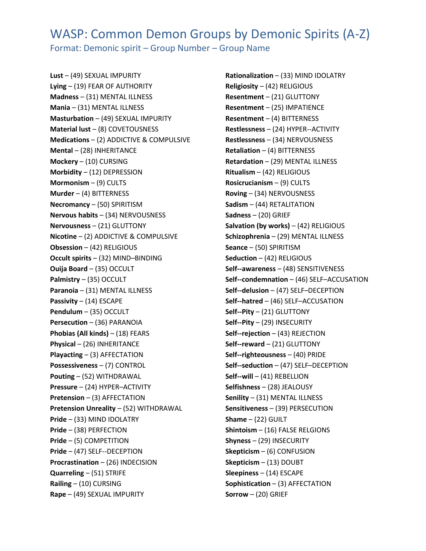## WASP: Common Demon Groups by Demonic Spirits (A-Z) Format: Demonic spirit – Group Number – Group Name

**Lust** – (49) SEXUAL IMPURITY **Lying** – (19) FEAR OF AUTHORITY **Madness** – (31) MENTAL ILLNESS **Mania** – (31) MENTAL ILLNESS **Masturbation** – (49) SEXUAL IMPURITY **Material lust** – (8) COVETOUSNESS **Medications** – (2) ADDICTIVE & COMPULSIVE **Mental** – (28) INHERITANCE **Mockery** – (10) CURSING **Morbidity** – (12) DEPRESSION **Mormonism** – (9) CULTS **Murder** – (4) BITTERNESS **Necromancy** – (50) SPIRITISM **Nervous habits** – (34) NERVOUSNESS **Nervousness** – (21) GLUTTONY **Nicotine** – (2) ADDICTIVE & COMPULSIVE **Obsession** – (42) RELIGIOUS **Occult spirits** – (32) MIND–BINDING **Ouija Board** – (35) OCCULT **Palmistry** – (35) OCCULT **Paranoia** – (31) MENTAL ILLNESS **Passivity** – (14) ESCAPE **Pendulum** – (35) OCCULT **Persecution** – (36) PARANOIA **Phobias (All kinds)** – (18) FEARS **Physical** – (26) INHERITANCE **Playacting** – (3) AFFECTATION **Possessiveness** – (7) CONTROL **Pouting** – (52) WITHDRAWAL **Pressure** – (24) HYPER–ACTIVITY **Pretension** – (3) AFFECTATION **Pretension Unreality** – (52) WITHDRAWAL **Pride** – (33) MIND IDOLATRY **Pride** – (38) PERFECTION **Pride** – (5) COMPETITION **Pride** – (47) SELF-‐DECEPTION **Procrastination** – (26) INDECISION **Quarreling** – (51) STRIFE **Railing** – (10) CURSING **Rape** – (49) SEXUAL IMPURITY

**Rationalization** – (33) MIND IDOLATRY **Religiosity** – (42) RELIGIOUS **Resentment** – (21) GLUTTONY **Resentment** – (25) IMPATIENCE **Resentment** – (4) BITTERNESS **Restlessness** – (24) HYPER-‐ACTIVITY **Restlessness** – (34) NERVOUSNESS **Retaliation** – (4) BITTERNESS **Retardation** – (29) MENTAL ILLNESS **Ritualism** – (42) RELIGIOUS **Rosicrucianism** – (9) CULTS **Roving** – (34) NERVOUSNESS **Sadism** – (44) RETALITATION **Sadness** – (20) GRIEF **Salvation (by works)** – (42) RELIGIOUS **Schizophrenia** – (29) MENTAL ILLNESS **Seance** – (50) SPIRITISM **Seduction** – (42) RELIGIOUS **Self-‐awareness** – (48) SENSITIVENESS **Self-‐condemnation** – (46) SELF–ACCUSATION **Self-‐delusion** – (47) SELF–DECEPTION **Self-‐hatred** – (46) SELF–ACCUSATION **Self-‐Pity** – (21) GLUTTONY **Self-‐Pity** – (29) INSECURITY **Self-‐rejection** – (43) REJECTION **Self-‐reward** – (21) GLUTTONY **Self-‐righteousness** – (40) PRIDE **Self-‐seduction** – (47) SELF–DECEPTION **Self-‐will** – (41) REBELLION **Selfishness** – (28) JEALOUSY **Senility** – (31) MENTAL ILLNESS **Sensitiveness** – (39) PERSECUTION **Shame** – (22) GUILT **Shintoism** – (16) FALSE RELGIONS **Shyness** – (29) INSECURITY **Skepticism** – (6) CONFUSION **Skepticism** – (13) DOUBT **Sleepiness** – (14) ESCAPE **Sophistication** – (3) AFFECTATION **Sorrow** – (20) GRIEF